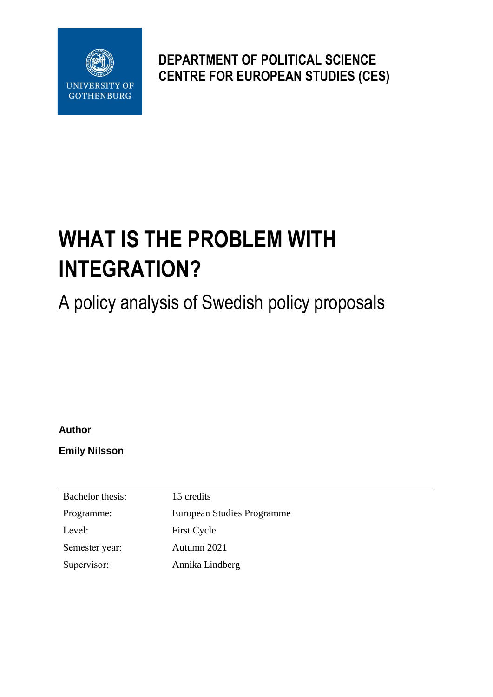

**DEPARTMENT OF POLITICAL SCIENCE CENTRE FOR EUROPEAN STUDIES (CES)**

# **WHAT IS THE PROBLEM WITH INTEGRATION?**

A policy analysis of Swedish policy proposals

**Author**

**Emily Nilsson**

Bachelor thesis: 15 credits Programme: European Studies Programme Level: First Cycle Semester year: Autumn 2021 Supervisor: Annika Lindberg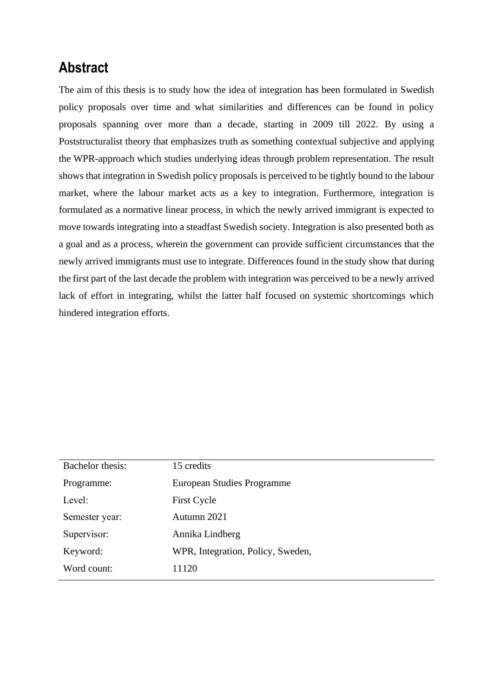## **Abstract**

The aim of this thesis is to study how the idea of integration has been formulated in Swedish policy proposals over time and what similarities and differences can be found in policy proposals spanning over more than a decade, starting in 2009 till 2022. By using a Poststructuralist theory that emphasizes truth as something contextual subjective and applying the WPR-approach which studies underlying ideas through problem representation. The result shows that integration in Swedish policy proposals is perceived to be tightly bound to the labour market, where the labour market acts as a key to integration. Furthermore, integration is formulated as a normative linear process, in which the newly arrived immigrant is expected to move towards integrating into a steadfast Swedish society. Integration is also presented both as a goal and as a process, wherein the government can provide sufficient circumstances that the newly arrived immigrants must use to integrate. Differences found in the study show that during the first part of the last decade the problem with integration was perceived to be a newly arrived lack of effort in integrating, whilst the latter half focused on systemic shortcomings which hindered integration efforts.

| Bachelor thesis: | 15 credits                        |  |  |
|------------------|-----------------------------------|--|--|
| Programme:       | European Studies Programme        |  |  |
| Level:           | <b>First Cycle</b>                |  |  |
| Semester year:   | Autumn 2021                       |  |  |
| Supervisor:      | Annika Lindberg                   |  |  |
| Keyword:         | WPR, Integration, Policy, Sweden, |  |  |
| Word count:      | 11120                             |  |  |
|                  |                                   |  |  |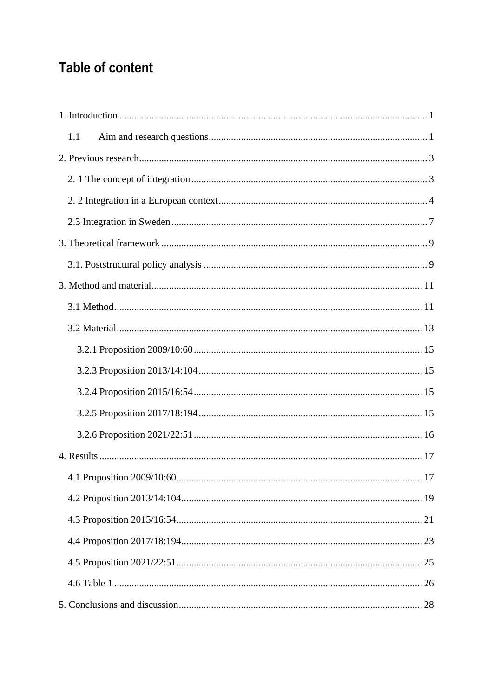## **Table of content**

| 1.1 |
|-----|
|     |
|     |
|     |
|     |
|     |
|     |
|     |
|     |
|     |
|     |
|     |
|     |
|     |
|     |
|     |
| 17  |
|     |
|     |
|     |
|     |
|     |
|     |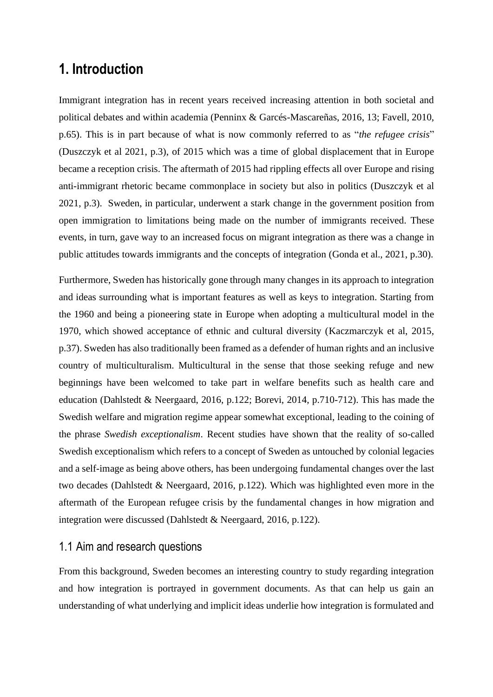## <span id="page-4-0"></span>**1. Introduction**

Immigrant integration has in recent years received increasing attention in both societal and political debates and within academia (Penninx & Garcés-Mascareñas, 2016, 13; Favell, 2010, p.65). This is in part because of what is now commonly referred to as "*the refugee crisis*" (Duszczyk et al 2021, p.3), of 2015 which was a time of global displacement that in Europe became a reception crisis. The aftermath of 2015 had rippling effects all over Europe and rising anti-immigrant rhetoric became commonplace in society but also in politics (Duszczyk et al 2021, p.3). Sweden, in particular, underwent a stark change in the government position from open immigration to limitations being made on the number of immigrants received. These events, in turn, gave way to an increased focus on migrant integration as there was a change in public attitudes towards immigrants and the concepts of integration (Gonda et al., 2021, p.30).

Furthermore, Sweden has historically gone through many changes in its approach to integration and ideas surrounding what is important features as well as keys to integration. Starting from the 1960 and being a pioneering state in Europe when adopting a multicultural model in the 1970, which showed acceptance of ethnic and cultural diversity (Kaczmarczyk et al, 2015, p.37). Sweden has also traditionally been framed as a defender of human rights and an inclusive country of multiculturalism. Multicultural in the sense that those seeking refuge and new beginnings have been welcomed to take part in welfare benefits such as health care and education (Dahlstedt & Neergaard, 2016, p.122; Borevi, 2014, p.710-712). This has made the Swedish welfare and migration regime appear somewhat exceptional, leading to the coining of the phrase *Swedish exceptionalism*. Recent studies have shown that the reality of so-called Swedish exceptionalism which refers to a concept of Sweden as untouched by colonial legacies and a self-image as being above others, has been undergoing fundamental changes over the last two decades (Dahlstedt & Neergaard, 2016, p.122). Which was highlighted even more in the aftermath of the European refugee crisis by the fundamental changes in how migration and integration were discussed (Dahlstedt & Neergaard, 2016, p.122).

#### <span id="page-4-1"></span>1.1 Aim and research questions

From this background, Sweden becomes an interesting country to study regarding integration and how integration is portrayed in government documents. As that can help us gain an understanding of what underlying and implicit ideas underlie how integration is formulated and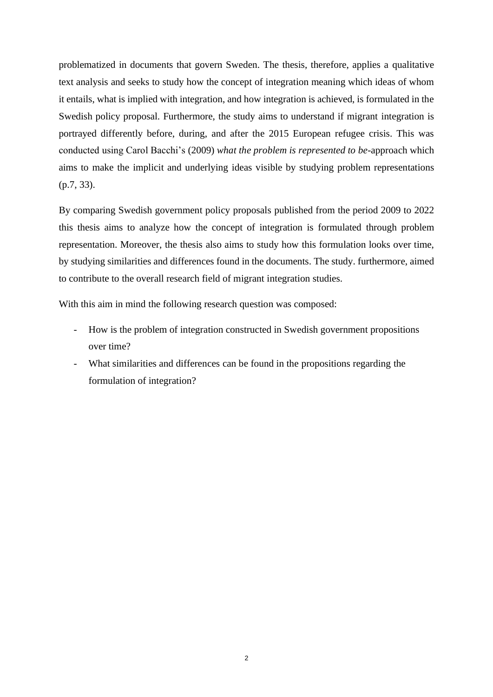problematized in documents that govern Sweden. The thesis, therefore, applies a qualitative text analysis and seeks to study how the concept of integration meaning which ideas of whom it entails, what is implied with integration, and how integration is achieved, is formulated in the Swedish policy proposal. Furthermore, the study aims to understand if migrant integration is portrayed differently before, during, and after the 2015 European refugee crisis. This was conducted using Carol Bacchi's (2009) *what the problem is represented to be*-approach which aims to make the implicit and underlying ideas visible by studying problem representations (p.7, 33).

By comparing Swedish government policy proposals published from the period 2009 to 2022 this thesis aims to analyze how the concept of integration is formulated through problem representation. Moreover, the thesis also aims to study how this formulation looks over time, by studying similarities and differences found in the documents. The study. furthermore, aimed to contribute to the overall research field of migrant integration studies.

With this aim in mind the following research question was composed:

- How is the problem of integration constructed in Swedish government propositions over time?
- What similarities and differences can be found in the propositions regarding the formulation of integration?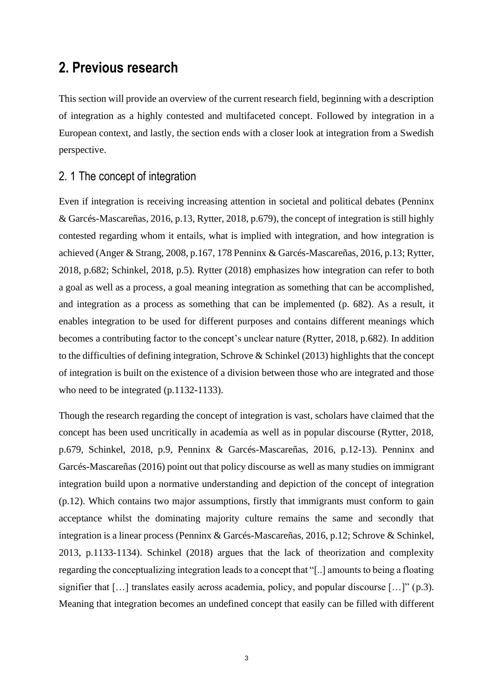## <span id="page-6-0"></span>**2. Previous research**

This section will provide an overview of the current research field, beginning with a description of integration as a highly contested and multifaceted concept. Followed by integration in a European context, and lastly, the section ends with a closer look at integration from a Swedish perspective.

#### <span id="page-6-1"></span>2. 1 The concept of integration

Even if integration is receiving increasing attention in societal and political debates (Penninx & Garcés-Mascareñas, 2016, p.13, Rytter, 2018, p.679), the concept of integration is still highly contested regarding whom it entails, what is implied with integration, and how integration is achieved (Anger & Strang, 2008, p.167, 178 Penninx & Garcés-Mascareñas, 2016, p.13; Rytter, 2018, p.682; Schinkel, 2018, p.5). Rytter (2018) emphasizes how integration can refer to both a goal as well as a process, a goal meaning integration as something that can be accomplished, and integration as a process as something that can be implemented (p. 682). As a result, it enables integration to be used for different purposes and contains different meanings which becomes a contributing factor to the concept's unclear nature (Rytter, 2018, p.682). In addition to the difficulties of defining integration, Schrove & Schinkel (2013) highlights that the concept of integration is built on the existence of a division between those who are integrated and those who need to be integrated (p.1132-1133).

Though the research regarding the concept of integration is vast, scholars have claimed that the concept has been used uncritically in academia as well as in popular discourse (Rytter, 2018, p.679, Schinkel, 2018, p.9, Penninx & Garcés-Mascareñas, 2016, p.12-13). Penninx and Garcés-Mascareñas (2016) point out that policy discourse as well as many studies on immigrant integration build upon a normative understanding and depiction of the concept of integration (p.12). Which contains two major assumptions, firstly that immigrants must conform to gain acceptance whilst the dominating majority culture remains the same and secondly that integration is a linear process (Penninx & Garcés-Mascareñas, 2016, p.12; Schrove & Schinkel, 2013, p.1133-1134). Schinkel (2018) argues that the lack of theorization and complexity regarding the conceptualizing integration leads to a concept that "[..] amounts to being a floating signifier that [...] translates easily across academia, policy, and popular discourse [...]" (p.3). Meaning that integration becomes an undefined concept that easily can be filled with different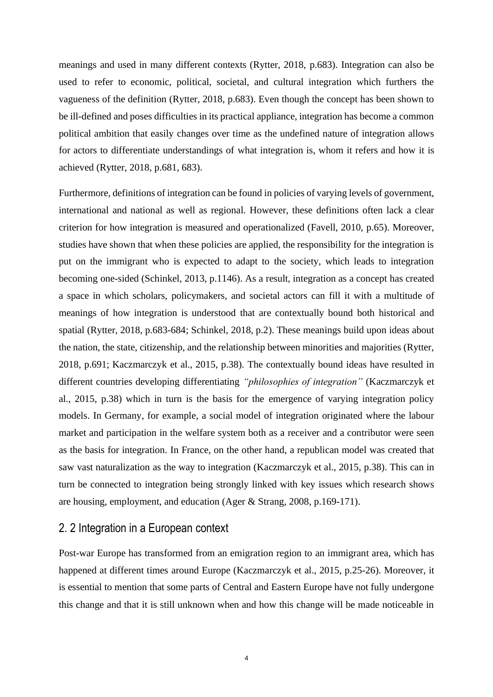meanings and used in many different contexts (Rytter, 2018, p.683). Integration can also be used to refer to economic, political, societal, and cultural integration which furthers the vagueness of the definition (Rytter, 2018, p.683). Even though the concept has been shown to be ill-defined and poses difficulties in its practical appliance, integration has become a common political ambition that easily changes over time as the undefined nature of integration allows for actors to differentiate understandings of what integration is, whom it refers and how it is achieved (Rytter, 2018, p.681, 683).

Furthermore, definitions of integration can be found in policies of varying levels of government, international and national as well as regional. However, these definitions often lack a clear criterion for how integration is measured and operationalized (Favell, 2010, p.65). Moreover, studies have shown that when these policies are applied, the responsibility for the integration is put on the immigrant who is expected to adapt to the society, which leads to integration becoming one-sided (Schinkel, 2013, p.1146). As a result, integration as a concept has created a space in which scholars, policymakers, and societal actors can fill it with a multitude of meanings of how integration is understood that are contextually bound both historical and spatial (Rytter, 2018, p.683-684; Schinkel, 2018, p.2). These meanings build upon ideas about the nation, the state, citizenship, and the relationship between minorities and majorities (Rytter, 2018, p.691; Kaczmarczyk et al., 2015, p.38). The contextually bound ideas have resulted in different countries developing differentiating *"philosophies of integration"* (Kaczmarczyk et al., 2015, p.38) which in turn is the basis for the emergence of varying integration policy models. In Germany, for example, a social model of integration originated where the labour market and participation in the welfare system both as a receiver and a contributor were seen as the basis for integration. In France, on the other hand, a republican model was created that saw vast naturalization as the way to integration (Kaczmarczyk et al., 2015, p.38). This can in turn be connected to integration being strongly linked with key issues which research shows are housing, employment, and education (Ager & Strang, 2008, p.169-171).

#### <span id="page-7-0"></span>2. 2 Integration in a European context

Post-war Europe has transformed from an emigration region to an immigrant area, which has happened at different times around Europe (Kaczmarczyk et al., 2015, p.25-26). Moreover, it is essential to mention that some parts of Central and Eastern Europe have not fully undergone this change and that it is still unknown when and how this change will be made noticeable in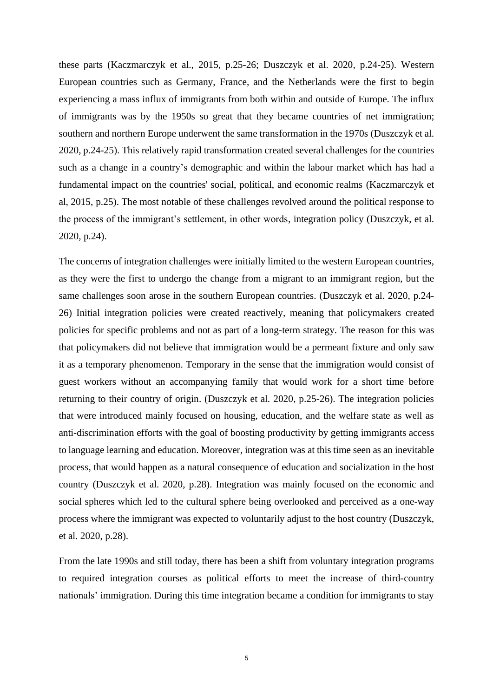these parts (Kaczmarczyk et al., 2015, p.25-26; Duszczyk et al. 2020, p.24-25). Western European countries such as Germany, France, and the Netherlands were the first to begin experiencing a mass influx of immigrants from both within and outside of Europe. The influx of immigrants was by the 1950s so great that they became countries of net immigration; southern and northern Europe underwent the same transformation in the 1970s (Duszczyk et al. 2020, p.24-25). This relatively rapid transformation created several challenges for the countries such as a change in a country's demographic and within the labour market which has had a fundamental impact on the countries' social, political, and economic realms (Kaczmarczyk et al, 2015, p.25). The most notable of these challenges revolved around the political response to the process of the immigrant's settlement, in other words, integration policy (Duszczyk, et al. 2020, p.24).

The concerns of integration challenges were initially limited to the western European countries, as they were the first to undergo the change from a migrant to an immigrant region, but the same challenges soon arose in the southern European countries. (Duszczyk et al. 2020, p.24- 26) Initial integration policies were created reactively, meaning that policymakers created policies for specific problems and not as part of a long-term strategy. The reason for this was that policymakers did not believe that immigration would be a permeant fixture and only saw it as a temporary phenomenon. Temporary in the sense that the immigration would consist of guest workers without an accompanying family that would work for a short time before returning to their country of origin. (Duszczyk et al. 2020, p.25-26). The integration policies that were introduced mainly focused on housing, education, and the welfare state as well as anti-discrimination efforts with the goal of boosting productivity by getting immigrants access to language learning and education. Moreover, integration was at this time seen as an inevitable process, that would happen as a natural consequence of education and socialization in the host country (Duszczyk et al. 2020, p.28). Integration was mainly focused on the economic and social spheres which led to the cultural sphere being overlooked and perceived as a one-way process where the immigrant was expected to voluntarily adjust to the host country (Duszczyk, et al. 2020, p.28).

From the late 1990s and still today, there has been a shift from voluntary integration programs to required integration courses as political efforts to meet the increase of third-country nationals' immigration. During this time integration became a condition for immigrants to stay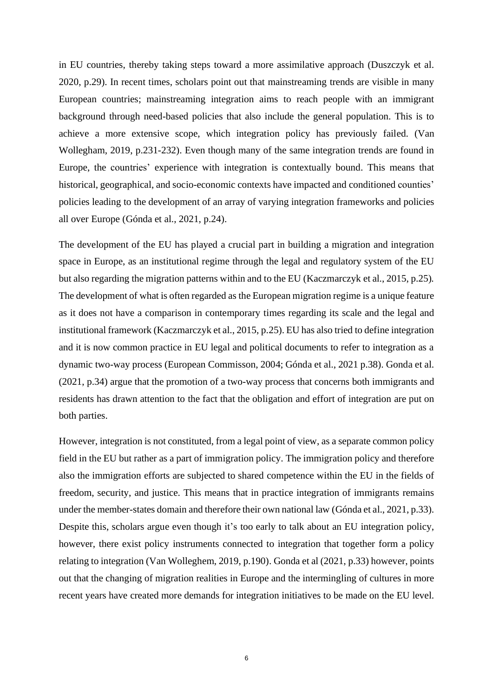in EU countries, thereby taking steps toward a more assimilative approach (Duszczyk et al. 2020, p.29). In recent times, scholars point out that mainstreaming trends are visible in many European countries; mainstreaming integration aims to reach people with an immigrant background through need-based policies that also include the general population. This is to achieve a more extensive scope, which integration policy has previously failed. (Van Wollegham, 2019, p.231-232). Even though many of the same integration trends are found in Europe, the countries' experience with integration is contextually bound. This means that historical, geographical, and socio-economic contexts have impacted and conditioned counties' policies leading to the development of an array of varying integration frameworks and policies all over Europe (Gónda et al., 2021, p.24).

The development of the EU has played a crucial part in building a migration and integration space in Europe, as an institutional regime through the legal and regulatory system of the EU but also regarding the migration patterns within and to the EU (Kaczmarczyk et al., 2015, p.25)*.* The development of what is often regarded as the European migration regime is a unique feature as it does not have a comparison in contemporary times regarding its scale and the legal and institutional framework (Kaczmarczyk et al., 2015, p.25). EU has also tried to define integration and it is now common practice in EU legal and political documents to refer to integration as a dynamic two-way process (European Commisson, 2004; Gónda et al., 2021 p.38). Gonda et al. (2021, p.34) argue that the promotion of a two-way process that concerns both immigrants and residents has drawn attention to the fact that the obligation and effort of integration are put on both parties.

However, integration is not constituted, from a legal point of view, as a separate common policy field in the EU but rather as a part of immigration policy. The immigration policy and therefore also the immigration efforts are subjected to shared competence within the EU in the fields of freedom, security, and justice. This means that in practice integration of immigrants remains under the member-states domain and therefore their own national law (Gónda et al., 2021, p.33). Despite this, scholars argue even though it's too early to talk about an EU integration policy, however, there exist policy instruments connected to integration that together form a policy relating to integration (Van Wolleghem, 2019, p.190). Gonda et al (2021, p.33) however, points out that the changing of migration realities in Europe and the intermingling of cultures in more recent years have created more demands for integration initiatives to be made on the EU level.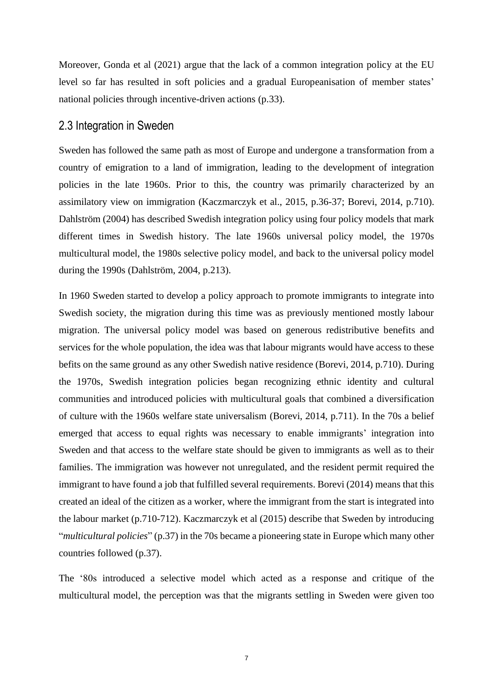Moreover, Gonda et al (2021) argue that the lack of a common integration policy at the EU level so far has resulted in soft policies and a gradual Europeanisation of member states' national policies through incentive-driven actions (p.33).

#### <span id="page-10-0"></span>2.3 Integration in Sweden

Sweden has followed the same path as most of Europe and undergone a transformation from a country of emigration to a land of immigration, leading to the development of integration policies in the late 1960s. Prior to this, the country was primarily characterized by an assimilatory view on immigration (Kaczmarczyk et al., 2015, p.36-37; Borevi, 2014, p.710). Dahlström (2004) has described Swedish integration policy using four policy models that mark different times in Swedish history. The late 1960s universal policy model, the 1970s multicultural model, the 1980s selective policy model, and back to the universal policy model during the 1990s (Dahlström, 2004, p.213).

In 1960 Sweden started to develop a policy approach to promote immigrants to integrate into Swedish society, the migration during this time was as previously mentioned mostly labour migration. The universal policy model was based on generous redistributive benefits and services for the whole population, the idea was that labour migrants would have access to these befits on the same ground as any other Swedish native residence (Borevi, 2014, p.710). During the 1970s, Swedish integration policies began recognizing ethnic identity and cultural communities and introduced policies with multicultural goals that combined a diversification of culture with the 1960s welfare state universalism (Borevi, 2014, p.711). In the 70s a belief emerged that access to equal rights was necessary to enable immigrants' integration into Sweden and that access to the welfare state should be given to immigrants as well as to their families. The immigration was however not unregulated, and the resident permit required the immigrant to have found a job that fulfilled several requirements. Borevi (2014) means that this created an ideal of the citizen as a worker, where the immigrant from the start is integrated into the labour market (p.710-712). Kaczmarczyk et al (2015) describe that Sweden by introducing "*multicultural policies*" (p.37) in the 70s became a pioneering state in Europe which many other countries followed (p.37).

The '80s introduced a selective model which acted as a response and critique of the multicultural model, the perception was that the migrants settling in Sweden were given too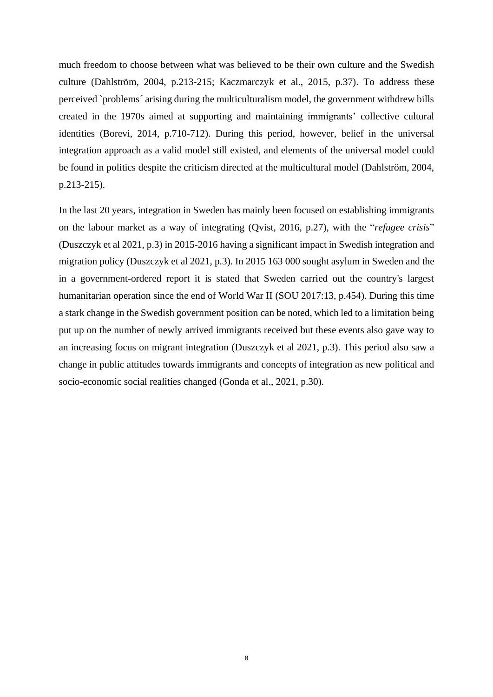much freedom to choose between what was believed to be their own culture and the Swedish culture (Dahlström, 2004, p.213-215; Kaczmarczyk et al., 2015, p.37). To address these perceived `problems´ arising during the multiculturalism model, the government withdrew bills created in the 1970s aimed at supporting and maintaining immigrants' collective cultural identities (Borevi, 2014, p.710-712). During this period, however, belief in the universal integration approach as a valid model still existed, and elements of the universal model could be found in politics despite the criticism directed at the multicultural model (Dahlström, 2004, p.213-215).

In the last 20 years, integration in Sweden has mainly been focused on establishing immigrants on the labour market as a way of integrating (Qvist, 2016, p.27), with the "*refugee crisis*" (Duszczyk et al 2021, p.3) in 2015-2016 having a significant impact in Swedish integration and migration policy (Duszczyk et al 2021, p.3). In 2015 163 000 sought asylum in Sweden and the in a government-ordered report it is stated that Sweden carried out the country's largest humanitarian operation since the end of World War II (SOU 2017:13, p.454). During this time a stark change in the Swedish government position can be noted, which led to a limitation being put up on the number of newly arrived immigrants received but these events also gave way to an increasing focus on migrant integration (Duszczyk et al 2021, p.3). This period also saw a change in public attitudes towards immigrants and concepts of integration as new political and socio-economic social realities changed (Gonda et al., 2021, p.30).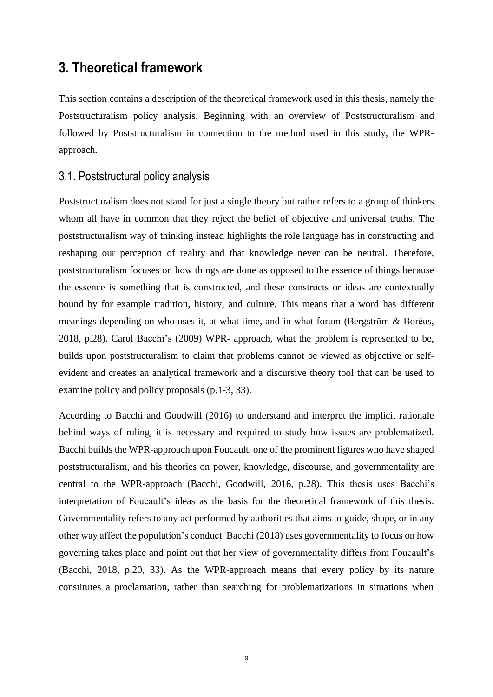## <span id="page-12-0"></span>**3. Theoretical framework**

This section contains a description of the theoretical framework used in this thesis, namely the Poststructuralism policy analysis. Beginning with an overview of Poststructuralism and followed by Poststructuralism in connection to the method used in this study, the WPRapproach.

#### <span id="page-12-1"></span>3.1. Poststructural policy analysis

Poststructuralism does not stand for just a single theory but rather refers to a group of thinkers whom all have in common that they reject the belief of objective and universal truths. The poststructuralism way of thinking instead highlights the role language has in constructing and reshaping our perception of reality and that knowledge never can be neutral. Therefore, poststructuralism focuses on how things are done as opposed to the essence of things because the essence is something that is constructed, and these constructs or ideas are contextually bound by for example tradition, history, and culture. This means that a word has different meanings depending on who uses it, at what time, and in what forum (Bergström & Boréus, 2018, p.28). Carol Bacchi's (2009) WPR- approach, what the problem is represented to be, builds upon poststructuralism to claim that problems cannot be viewed as objective or selfevident and creates an analytical framework and a discursive theory tool that can be used to examine policy and policy proposals (p.1-3, 33).

According to Bacchi and Goodwill (2016) to understand and interpret the implicit rationale behind ways of ruling, it is necessary and required to study how issues are problematized. Bacchi builds the WPR-approach upon Foucault, one of the prominent figures who have shaped poststructuralism, and his theories on power, knowledge, discourse, and governmentality are central to the WPR-approach (Bacchi, Goodwill, 2016, p.28). This thesis uses Bacchi's interpretation of Foucault's ideas as the basis for the theoretical framework of this thesis. Governmentality refers to any act performed by authorities that aims to guide, shape, or in any other way affect the population's conduct. Bacchi (2018) uses governmentality to focus on how governing takes place and point out that her view of governmentality differs from Foucault's (Bacchi, 2018, p.20, 33). As the WPR-approach means that every policy by its nature constitutes a proclamation, rather than searching for problematizations in situations when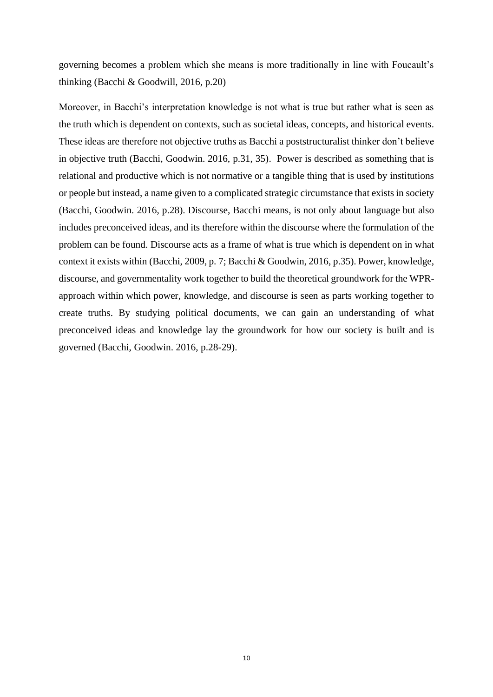governing becomes a problem which she means is more traditionally in line with Foucault's thinking (Bacchi & Goodwill, 2016, p.20)

Moreover, in Bacchi's interpretation knowledge is not what is true but rather what is seen as the truth which is dependent on contexts, such as societal ideas, concepts, and historical events. These ideas are therefore not objective truths as Bacchi a poststructuralist thinker don't believe in objective truth (Bacchi, Goodwin. 2016, p.31, 35). Power is described as something that is relational and productive which is not normative or a tangible thing that is used by institutions or people but instead, a name given to a complicated strategic circumstance that exists in society (Bacchi, Goodwin. 2016, p.28). Discourse, Bacchi means, is not only about language but also includes preconceived ideas, and its therefore within the discourse where the formulation of the problem can be found. Discourse acts as a frame of what is true which is dependent on in what context it exists within (Bacchi, 2009, p. 7; Bacchi & Goodwin, 2016, p.35). Power, knowledge, discourse, and governmentality work together to build the theoretical groundwork for the WPRapproach within which power, knowledge, and discourse is seen as parts working together to create truths. By studying political documents, we can gain an understanding of what preconceived ideas and knowledge lay the groundwork for how our society is built and is governed (Bacchi, Goodwin. 2016, p.28-29).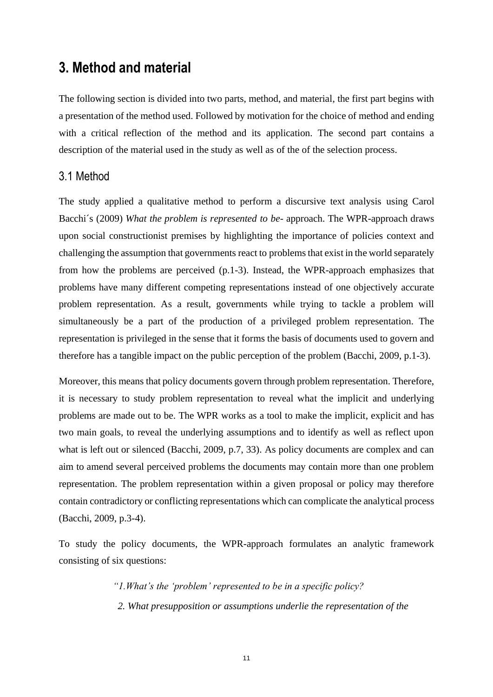## <span id="page-14-0"></span>**3. Method and material**

The following section is divided into two parts, method, and material, the first part begins with a presentation of the method used. Followed by motivation for the choice of method and ending with a critical reflection of the method and its application. The second part contains a description of the material used in the study as well as of the of the selection process.

#### <span id="page-14-1"></span>3.1 Method

The study applied a qualitative method to perform a discursive text analysis using Carol Bacchi´s (2009) *What the problem is represented to be*- approach. The WPR-approach draws upon social constructionist premises by highlighting the importance of policies context and challenging the assumption that governments react to problems that exist in the world separately from how the problems are perceived (p.1-3). Instead, the WPR-approach emphasizes that problems have many different competing representations instead of one objectively accurate problem representation. As a result, governments while trying to tackle a problem will simultaneously be a part of the production of a privileged problem representation. The representation is privileged in the sense that it forms the basis of documents used to govern and therefore has a tangible impact on the public perception of the problem (Bacchi, 2009, p.1-3).

Moreover, this means that policy documents govern through problem representation. Therefore, it is necessary to study problem representation to reveal what the implicit and underlying problems are made out to be. The WPR works as a tool to make the implicit, explicit and has two main goals, to reveal the underlying assumptions and to identify as well as reflect upon what is left out or silenced (Bacchi, 2009, p.7, 33). As policy documents are complex and can aim to amend several perceived problems the documents may contain more than one problem representation. The problem representation within a given proposal or policy may therefore contain contradictory or conflicting representations which can complicate the analytical process (Bacchi, 2009, p.3-4).

To study the policy documents, the WPR-approach formulates an analytic framework consisting of six questions:

> *"1.What's the 'problem' represented to be in a specific policy? 2. What presupposition or assumptions underlie the representation of the*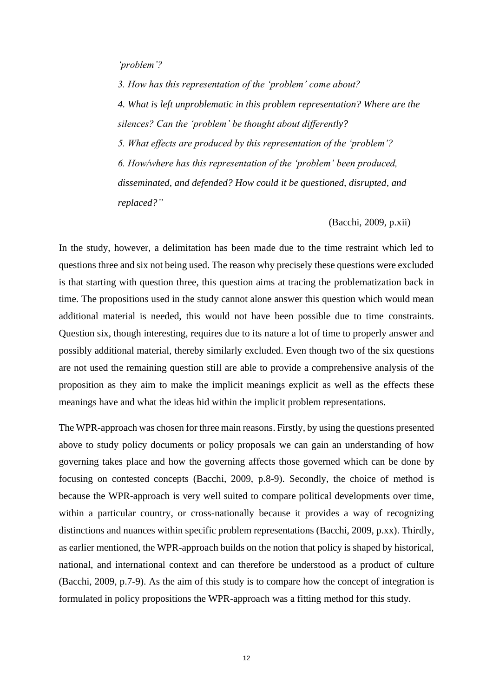#### *'problem'?*

 *3. How has this representation of the 'problem' come about? 4. What is left unproblematic in this problem representation? Where are the silences? Can the 'problem' be thought about differently? 5. What effects are produced by this representation of the 'problem'? 6. How/where has this representation of the 'problem' been produced, disseminated, and defended? How could it be questioned, disrupted, and replaced?"*

(Bacchi, 2009, p.xii)

In the study, however, a delimitation has been made due to the time restraint which led to questions three and six not being used. The reason why precisely these questions were excluded is that starting with question three, this question aims at tracing the problematization back in time. The propositions used in the study cannot alone answer this question which would mean additional material is needed, this would not have been possible due to time constraints. Question six, though interesting, requires due to its nature a lot of time to properly answer and possibly additional material, thereby similarly excluded. Even though two of the six questions are not used the remaining question still are able to provide a comprehensive analysis of the proposition as they aim to make the implicit meanings explicit as well as the effects these meanings have and what the ideas hid within the implicit problem representations.

The WPR-approach was chosen for three main reasons. Firstly, by using the questions presented above to study policy documents or policy proposals we can gain an understanding of how governing takes place and how the governing affects those governed which can be done by focusing on contested concepts (Bacchi, 2009, p.8-9). Secondly, the choice of method is because the WPR-approach is very well suited to compare political developments over time, within a particular country, or cross-nationally because it provides a way of recognizing distinctions and nuances within specific problem representations (Bacchi, 2009, p.xx). Thirdly, as earlier mentioned, the WPR-approach builds on the notion that policy is shaped by historical, national, and international context and can therefore be understood as a product of culture (Bacchi, 2009, p.7-9). As the aim of this study is to compare how the concept of integration is formulated in policy propositions the WPR-approach was a fitting method for this study.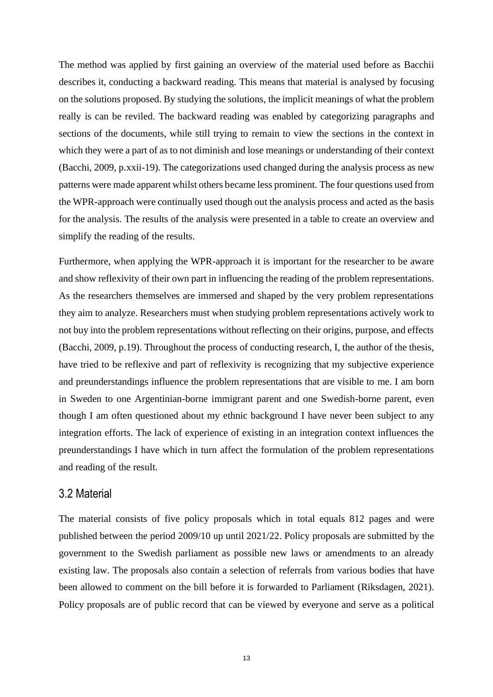The method was applied by first gaining an overview of the material used before as Bacchii describes it, conducting a backward reading. This means that material is analysed by focusing on the solutions proposed. By studying the solutions, the implicit meanings of what the problem really is can be reviled. The backward reading was enabled by categorizing paragraphs and sections of the documents, while still trying to remain to view the sections in the context in which they were a part of as to not diminish and lose meanings or understanding of their context (Bacchi, 2009, p.xxii-19). The categorizations used changed during the analysis process as new patterns were made apparent whilst others became less prominent. The four questions used from the WPR-approach were continually used though out the analysis process and acted as the basis for the analysis. The results of the analysis were presented in a table to create an overview and simplify the reading of the results.

Furthermore, when applying the WPR-approach it is important for the researcher to be aware and show reflexivity of their own part in influencing the reading of the problem representations. As the researchers themselves are immersed and shaped by the very problem representations they aim to analyze. Researchers must when studying problem representations actively work to not buy into the problem representations without reflecting on their origins, purpose, and effects (Bacchi, 2009, p.19). Throughout the process of conducting research, I, the author of the thesis, have tried to be reflexive and part of reflexivity is recognizing that my subjective experience and preunderstandings influence the problem representations that are visible to me. I am born in Sweden to one Argentinian-borne immigrant parent and one Swedish-borne parent, even though I am often questioned about my ethnic background I have never been subject to any integration efforts. The lack of experience of existing in an integration context influences the preunderstandings I have which in turn affect the formulation of the problem representations and reading of the result.

#### <span id="page-16-0"></span>3.2 Material

The material consists of five policy proposals which in total equals 812 pages and were published between the period 2009/10 up until 2021/22. Policy proposals are submitted by the government to the Swedish parliament as possible new laws or amendments to an already existing law. The proposals also contain a selection of referrals from various bodies that have been allowed to comment on the bill before it is forwarded to Parliament (Riksdagen, 2021). Policy proposals are of public record that can be viewed by everyone and serve as a political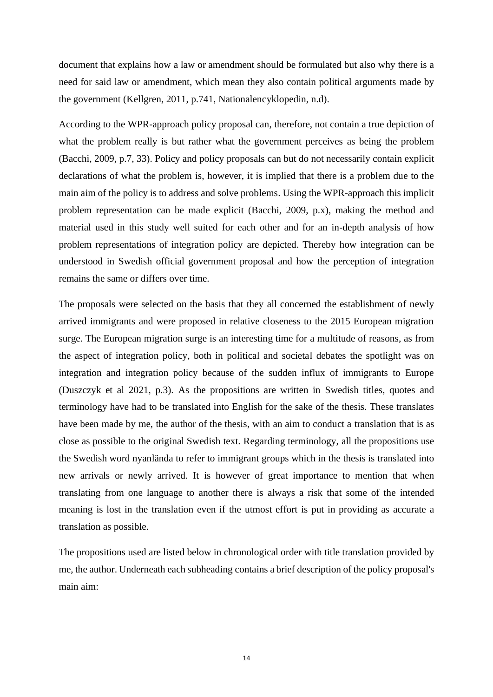document that explains how a law or amendment should be formulated but also why there is a need for said law or amendment, which mean they also contain political arguments made by the government (Kellgren, 2011, p.741, Nationalencyklopedin, n.d).

According to the WPR-approach policy proposal can, therefore, not contain a true depiction of what the problem really is but rather what the government perceives as being the problem (Bacchi, 2009, p.7, 33). Policy and policy proposals can but do not necessarily contain explicit declarations of what the problem is, however, it is implied that there is a problem due to the main aim of the policy is to address and solve problems. Using the WPR-approach this implicit problem representation can be made explicit (Bacchi, 2009, p.x), making the method and material used in this study well suited for each other and for an in-depth analysis of how problem representations of integration policy are depicted. Thereby how integration can be understood in Swedish official government proposal and how the perception of integration remains the same or differs over time.

The proposals were selected on the basis that they all concerned the establishment of newly arrived immigrants and were proposed in relative closeness to the 2015 European migration surge. The European migration surge is an interesting time for a multitude of reasons, as from the aspect of integration policy, both in political and societal debates the spotlight was on integration and integration policy because of the sudden influx of immigrants to Europe (Duszczyk et al 2021, p.3). As the propositions are written in Swedish titles, quotes and terminology have had to be translated into English for the sake of the thesis. These translates have been made by me, the author of the thesis, with an aim to conduct a translation that is as close as possible to the original Swedish text. Regarding terminology, all the propositions use the Swedish word nyanlända to refer to immigrant groups which in the thesis is translated into new arrivals or newly arrived. It is however of great importance to mention that when translating from one language to another there is always a risk that some of the intended meaning is lost in the translation even if the utmost effort is put in providing as accurate a translation as possible.

The propositions used are listed below in chronological order with title translation provided by me, the author. Underneath each subheading contains a brief description of the policy proposal's main aim: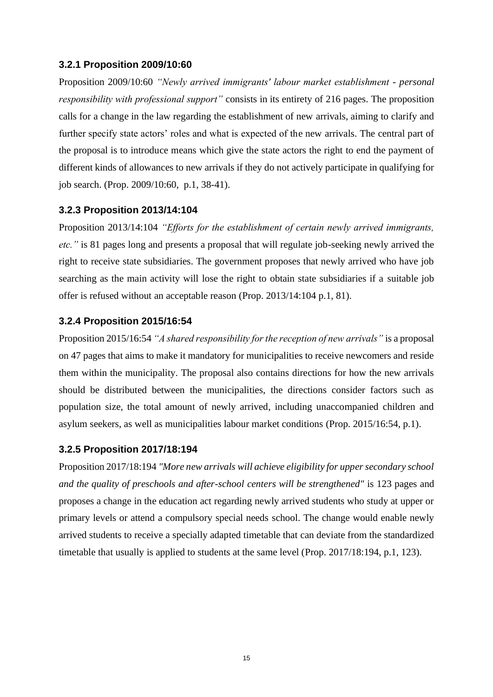#### <span id="page-18-0"></span>**3.2.1 Proposition 2009/10:60**

Proposition 2009/10:60 *"Newly arrived immigrants' labour market establishment - personal responsibility with professional support"* consists in its entirety of 216 pages. The proposition calls for a change in the law regarding the establishment of new arrivals, aiming to clarify and further specify state actors' roles and what is expected of the new arrivals. The central part of the proposal is to introduce means which give the state actors the right to end the payment of different kinds of allowances to new arrivals if they do not actively participate in qualifying for job search. (Prop. 2009/10:60, p.1, 38-41).

#### <span id="page-18-1"></span>**3.2.3 Proposition 2013/14:104**

Proposition 2013/14:104 *"Efforts for the establishment of certain newly arrived immigrants, etc."* is 81 pages long and presents a proposal that will regulate job-seeking newly arrived the right to receive state subsidiaries. The government proposes that newly arrived who have job searching as the main activity will lose the right to obtain state subsidiaries if a suitable job offer is refused without an acceptable reason (Prop. 2013/14:104 p.1, 81).

#### <span id="page-18-2"></span>**3.2.4 Proposition 2015/16:54**

Proposition 2015/16:54 *"A shared responsibility for the reception of new arrivals"* is a proposal on 47 pages that aims to make it mandatory for municipalities to receive newcomers and reside them within the municipality. The proposal also contains directions for how the new arrivals should be distributed between the municipalities, the directions consider factors such as population size, the total amount of newly arrived, including unaccompanied children and asylum seekers, as well as municipalities labour market conditions (Prop. 2015/16:54, p.1).

#### <span id="page-18-3"></span>**3.2.5 Proposition 2017/18:194**

Proposition 2017/18:194 *"More new arrivals will achieve eligibility for upper secondary school and the quality of preschools and after-school centers will be strengthened"* is 123 pages and proposes a change in the education act regarding newly arrived students who study at upper or primary levels or attend a compulsory special needs school. The change would enable newly arrived students to receive a specially adapted timetable that can deviate from the standardized timetable that usually is applied to students at the same level (Prop. 2017/18:194, p.1, 123).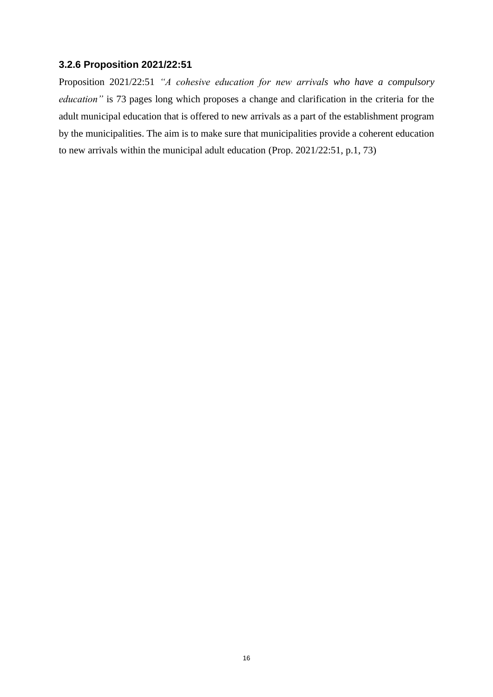#### <span id="page-19-0"></span>**3.2.6 Proposition 2021/22:51**

Proposition 2021/22:51 *"A cohesive education for new arrivals who have a compulsory education"* is 73 pages long which proposes a change and clarification in the criteria for the adult municipal education that is offered to new arrivals as a part of the establishment program by the municipalities. The aim is to make sure that municipalities provide a coherent education to new arrivals within the municipal adult education (Prop. 2021/22:51, p.1, 73)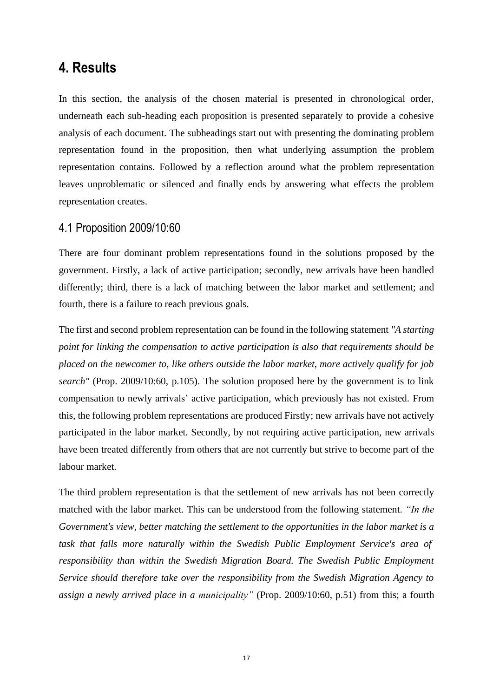### <span id="page-20-0"></span>**4. Results**

In this section, the analysis of the chosen material is presented in chronological order, underneath each sub-heading each proposition is presented separately to provide a cohesive analysis of each document. The subheadings start out with presenting the dominating problem representation found in the proposition, then what underlying assumption the problem representation contains. Followed by a reflection around what the problem representation leaves unproblematic or silenced and finally ends by answering what effects the problem representation creates.

#### <span id="page-20-1"></span>4.1 Proposition 2009/10:60

There are four dominant problem representations found in the solutions proposed by the government. Firstly, a lack of active participation; secondly, new arrivals have been handled differently; third, there is a lack of matching between the labor market and settlement; and fourth, there is a failure to reach previous goals.

The first and second problem representation can be found in the following statement *"A starting point for linking the compensation to active participation is also that requirements should be placed on the newcomer to, like others outside the labor market, more actively qualify for job search"* (Prop. 2009/10:60, p.105). The solution proposed here by the government is to link compensation to newly arrivals' active participation, which previously has not existed. From this, the following problem representations are produced Firstly; new arrivals have not actively participated in the labor market. Secondly, by not requiring active participation, new arrivals have been treated differently from others that are not currently but strive to become part of the labour market.

The third problem representation is that the settlement of new arrivals has not been correctly matched with the labor market. This can be understood from the following statement. *"In the Government's view, better matching the settlement to the opportunities in the labor market is a task that falls more naturally within the Swedish Public Employment Service's area of responsibility than within the Swedish Migration Board. The Swedish Public Employment Service should therefore take over the responsibility from the Swedish Migration Agency to assign a newly arrived place in a municipality"* (Prop. 2009/10:60, p.51) from this; a fourth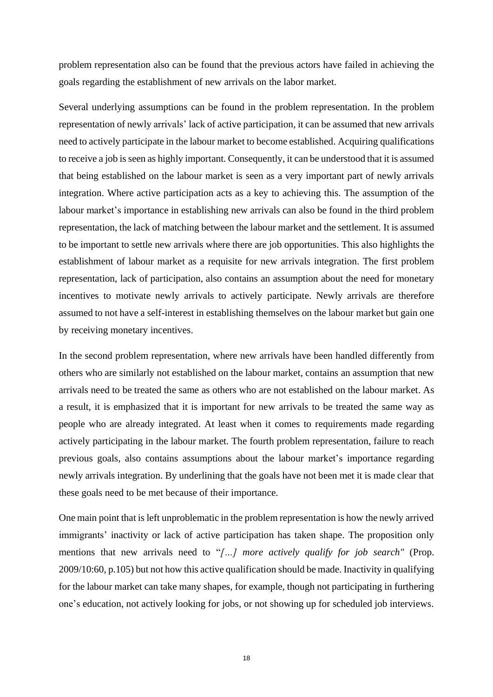problem representation also can be found that the previous actors have failed in achieving the goals regarding the establishment of new arrivals on the labor market.

Several underlying assumptions can be found in the problem representation. In the problem representation of newly arrivals' lack of active participation, it can be assumed that new arrivals need to actively participate in the labour market to become established. Acquiring qualifications to receive a job is seen as highly important. Consequently, it can be understood that it is assumed that being established on the labour market is seen as a very important part of newly arrivals integration. Where active participation acts as a key to achieving this. The assumption of the labour market's importance in establishing new arrivals can also be found in the third problem representation, the lack of matching between the labour market and the settlement. It is assumed to be important to settle new arrivals where there are job opportunities. This also highlights the establishment of labour market as a requisite for new arrivals integration. The first problem representation, lack of participation, also contains an assumption about the need for monetary incentives to motivate newly arrivals to actively participate. Newly arrivals are therefore assumed to not have a self-interest in establishing themselves on the labour market but gain one by receiving monetary incentives.

In the second problem representation, where new arrivals have been handled differently from others who are similarly not established on the labour market, contains an assumption that new arrivals need to be treated the same as others who are not established on the labour market. As a result, it is emphasized that it is important for new arrivals to be treated the same way as people who are already integrated. At least when it comes to requirements made regarding actively participating in the labour market. The fourth problem representation, failure to reach previous goals, also contains assumptions about the labour market's importance regarding newly arrivals integration. By underlining that the goals have not been met it is made clear that these goals need to be met because of their importance.

One main point that is left unproblematic in the problem representation is how the newly arrived immigrants' inactivity or lack of active participation has taken shape. The proposition only mentions that new arrivals need to "*[…] more actively qualify for job search"* (Prop. 2009/10:60, p.105) but not how this active qualification should be made. Inactivity in qualifying for the labour market can take many shapes, for example, though not participating in furthering one's education, not actively looking for jobs, or not showing up for scheduled job interviews.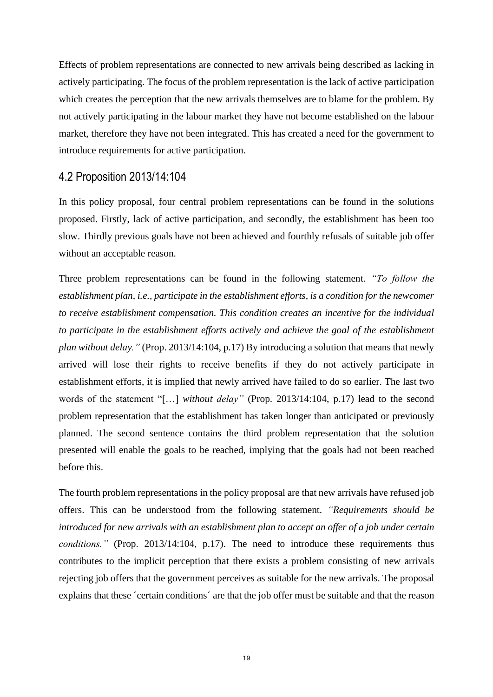Effects of problem representations are connected to new arrivals being described as lacking in actively participating. The focus of the problem representation is the lack of active participation which creates the perception that the new arrivals themselves are to blame for the problem. By not actively participating in the labour market they have not become established on the labour market, therefore they have not been integrated. This has created a need for the government to introduce requirements for active participation.

#### <span id="page-22-0"></span>4.2 Proposition 2013/14:104

In this policy proposal, four central problem representations can be found in the solutions proposed. Firstly, lack of active participation, and secondly, the establishment has been too slow. Thirdly previous goals have not been achieved and fourthly refusals of suitable job offer without an acceptable reason.

Three problem representations can be found in the following statement. *"To follow the establishment plan, i.e., participate in the establishment efforts, is a condition for the newcomer to receive establishment compensation. This condition creates an incentive for the individual to participate in the establishment efforts actively and achieve the goal of the establishment plan without delay."* (Prop. 2013/14:104, p.17) By introducing a solution that means that newly arrived will lose their rights to receive benefits if they do not actively participate in establishment efforts, it is implied that newly arrived have failed to do so earlier. The last two words of the statement "[…] *without delay"* (Prop. 2013/14:104, p.17) lead to the second problem representation that the establishment has taken longer than anticipated or previously planned. The second sentence contains the third problem representation that the solution presented will enable the goals to be reached, implying that the goals had not been reached before this.

The fourth problem representations in the policy proposal are that new arrivals have refused job offers. This can be understood from the following statement. *"Requirements should be introduced for new arrivals with an establishment plan to accept an offer of a job under certain conditions."* (Prop. 2013/14:104, p.17). The need to introduce these requirements thus contributes to the implicit perception that there exists a problem consisting of new arrivals rejecting job offers that the government perceives as suitable for the new arrivals. The proposal explains that these ´certain conditions´ are that the job offer must be suitable and that the reason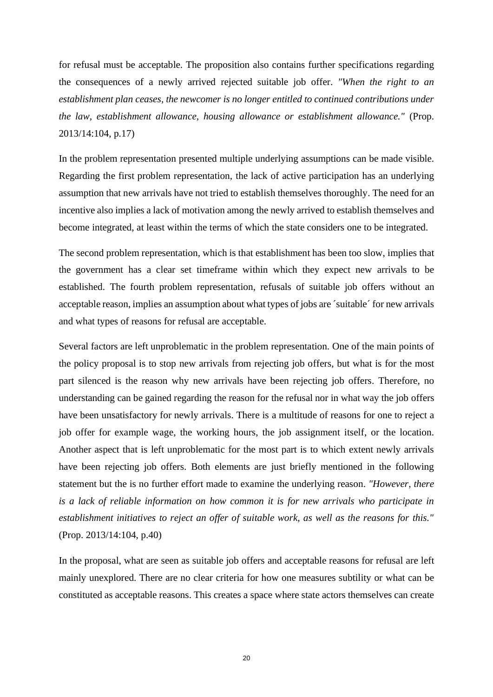for refusal must be acceptable. The proposition also contains further specifications regarding the consequences of a newly arrived rejected suitable job offer. *"When the right to an establishment plan ceases, the newcomer is no longer entitled to continued contributions under the law, establishment allowance, housing allowance or establishment allowance."* (Prop. 2013/14:104, p.17)

In the problem representation presented multiple underlying assumptions can be made visible. Regarding the first problem representation, the lack of active participation has an underlying assumption that new arrivals have not tried to establish themselves thoroughly. The need for an incentive also implies a lack of motivation among the newly arrived to establish themselves and become integrated, at least within the terms of which the state considers one to be integrated.

The second problem representation, which is that establishment has been too slow, implies that the government has a clear set timeframe within which they expect new arrivals to be established. The fourth problem representation, refusals of suitable job offers without an acceptable reason, implies an assumption about what types of jobs are ´suitable´ for new arrivals and what types of reasons for refusal are acceptable.

Several factors are left unproblematic in the problem representation. One of the main points of the policy proposal is to stop new arrivals from rejecting job offers, but what is for the most part silenced is the reason why new arrivals have been rejecting job offers. Therefore, no understanding can be gained regarding the reason for the refusal nor in what way the job offers have been unsatisfactory for newly arrivals. There is a multitude of reasons for one to reject a job offer for example wage, the working hours, the job assignment itself, or the location. Another aspect that is left unproblematic for the most part is to which extent newly arrivals have been rejecting job offers. Both elements are just briefly mentioned in the following statement but the is no further effort made to examine the underlying reason. *"However, there is a lack of reliable information on how common it is for new arrivals who participate in establishment initiatives to reject an offer of suitable work, as well as the reasons for this."* (Prop. 2013/14:104, p.40)

In the proposal, what are seen as suitable job offers and acceptable reasons for refusal are left mainly unexplored. There are no clear criteria for how one measures subtility or what can be constituted as acceptable reasons. This creates a space where state actors themselves can create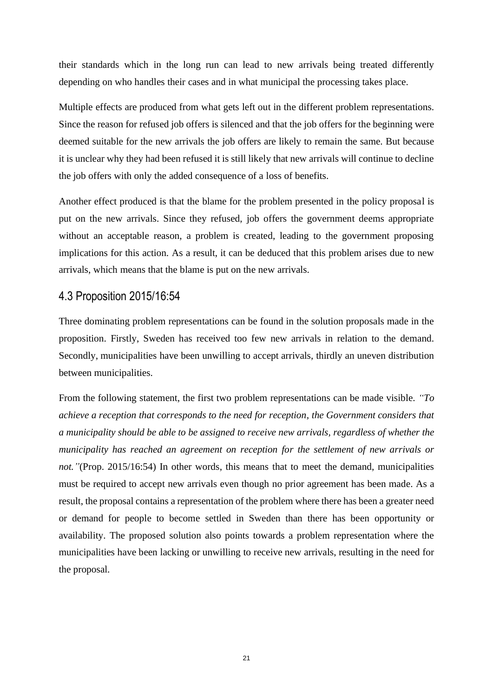their standards which in the long run can lead to new arrivals being treated differently depending on who handles their cases and in what municipal the processing takes place.

Multiple effects are produced from what gets left out in the different problem representations. Since the reason for refused job offers is silenced and that the job offers for the beginning were deemed suitable for the new arrivals the job offers are likely to remain the same. But because it is unclear why they had been refused it is still likely that new arrivals will continue to decline the job offers with only the added consequence of a loss of benefits.

Another effect produced is that the blame for the problem presented in the policy proposal is put on the new arrivals. Since they refused, job offers the government deems appropriate without an acceptable reason, a problem is created, leading to the government proposing implications for this action. As a result, it can be deduced that this problem arises due to new arrivals, which means that the blame is put on the new arrivals.

#### <span id="page-24-0"></span>4.3 Proposition 2015/16:54

Three dominating problem representations can be found in the solution proposals made in the proposition. Firstly, Sweden has received too few new arrivals in relation to the demand. Secondly, municipalities have been unwilling to accept arrivals, thirdly an uneven distribution between municipalities.

From the following statement, the first two problem representations can be made visible. *"To achieve a reception that corresponds to the need for reception, the Government considers that a municipality should be able to be assigned to receive new arrivals, regardless of whether the municipality has reached an agreement on reception for the settlement of new arrivals or not."*(Prop. 2015/16:54) In other words, this means that to meet the demand, municipalities must be required to accept new arrivals even though no prior agreement has been made. As a result, the proposal contains a representation of the problem where there has been a greater need or demand for people to become settled in Sweden than there has been opportunity or availability. The proposed solution also points towards a problem representation where the municipalities have been lacking or unwilling to receive new arrivals, resulting in the need for the proposal.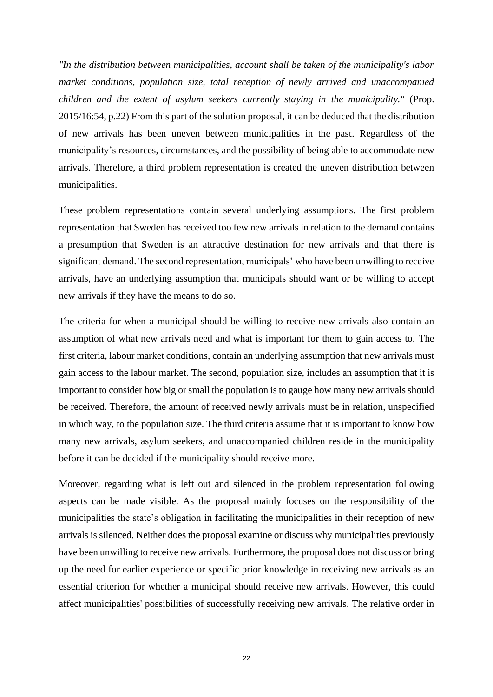*"In the distribution between municipalities, account shall be taken of the municipality's labor market conditions, population size, total reception of newly arrived and unaccompanied children and the extent of asylum seekers currently staying in the municipality."* (Prop. 2015/16:54, p.22) From this part of the solution proposal, it can be deduced that the distribution of new arrivals has been uneven between municipalities in the past. Regardless of the municipality's resources, circumstances, and the possibility of being able to accommodate new arrivals. Therefore, a third problem representation is created the uneven distribution between municipalities.

These problem representations contain several underlying assumptions. The first problem representation that Sweden has received too few new arrivals in relation to the demand contains a presumption that Sweden is an attractive destination for new arrivals and that there is significant demand. The second representation, municipals' who have been unwilling to receive arrivals, have an underlying assumption that municipals should want or be willing to accept new arrivals if they have the means to do so.

The criteria for when a municipal should be willing to receive new arrivals also contain an assumption of what new arrivals need and what is important for them to gain access to. The first criteria, labour market conditions, contain an underlying assumption that new arrivals must gain access to the labour market. The second, population size, includes an assumption that it is important to consider how big or small the population is to gauge how many new arrivals should be received. Therefore, the amount of received newly arrivals must be in relation, unspecified in which way, to the population size. The third criteria assume that it is important to know how many new arrivals, asylum seekers, and unaccompanied children reside in the municipality before it can be decided if the municipality should receive more.

Moreover, regarding what is left out and silenced in the problem representation following aspects can be made visible. As the proposal mainly focuses on the responsibility of the municipalities the state's obligation in facilitating the municipalities in their reception of new arrivals is silenced. Neither does the proposal examine or discuss why municipalities previously have been unwilling to receive new arrivals. Furthermore, the proposal does not discuss or bring up the need for earlier experience or specific prior knowledge in receiving new arrivals as an essential criterion for whether a municipal should receive new arrivals. However, this could affect municipalities' possibilities of successfully receiving new arrivals. The relative order in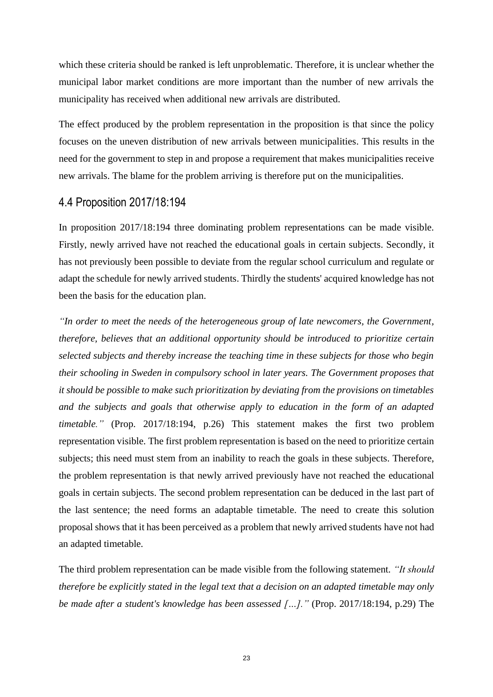which these criteria should be ranked is left unproblematic. Therefore, it is unclear whether the municipal labor market conditions are more important than the number of new arrivals the municipality has received when additional new arrivals are distributed.

The effect produced by the problem representation in the proposition is that since the policy focuses on the uneven distribution of new arrivals between municipalities. This results in the need for the government to step in and propose a requirement that makes municipalities receive new arrivals. The blame for the problem arriving is therefore put on the municipalities.

#### <span id="page-26-0"></span>4.4 Proposition 2017/18:194

In proposition 2017/18:194 three dominating problem representations can be made visible. Firstly, newly arrived have not reached the educational goals in certain subjects. Secondly, it has not previously been possible to deviate from the regular school curriculum and regulate or adapt the schedule for newly arrived students. Thirdly the students' acquired knowledge has not been the basis for the education plan.

*"In order to meet the needs of the heterogeneous group of late newcomers, the Government, therefore, believes that an additional opportunity should be introduced to prioritize certain selected subjects and thereby increase the teaching time in these subjects for those who begin their schooling in Sweden in compulsory school in later years. The Government proposes that it should be possible to make such prioritization by deviating from the provisions on timetables and the subjects and goals that otherwise apply to education in the form of an adapted timetable."* (Prop. 2017/18:194, p.26) This statement makes the first two problem representation visible. The first problem representation is based on the need to prioritize certain subjects; this need must stem from an inability to reach the goals in these subjects. Therefore, the problem representation is that newly arrived previously have not reached the educational goals in certain subjects. The second problem representation can be deduced in the last part of the last sentence; the need forms an adaptable timetable. The need to create this solution proposal shows that it has been perceived as a problem that newly arrived students have not had an adapted timetable.

The third problem representation can be made visible from the following statement. *"It should therefore be explicitly stated in the legal text that a decision on an adapted timetable may only be made after a student's knowledge has been assessed […]."* (Prop. 2017/18:194, p.29) The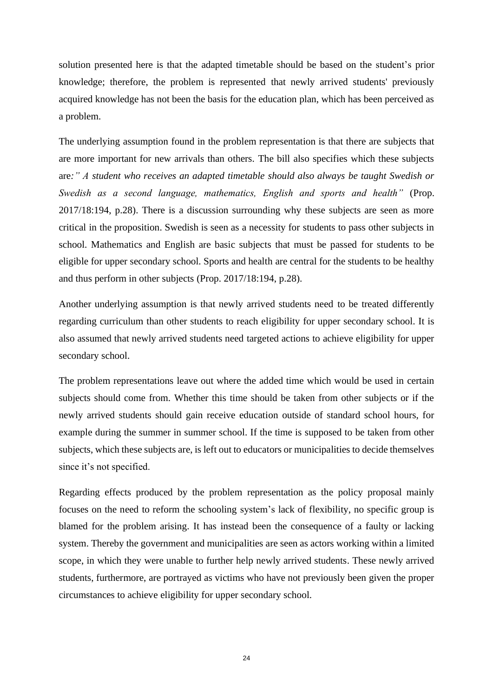solution presented here is that the adapted timetable should be based on the student's prior knowledge; therefore, the problem is represented that newly arrived students' previously acquired knowledge has not been the basis for the education plan, which has been perceived as a problem.

The underlying assumption found in the problem representation is that there are subjects that are more important for new arrivals than others. The bill also specifies which these subjects are*:" A student who receives an adapted timetable should also always be taught Swedish or Swedish as a second language, mathematics, English and sports and health"* (Prop. 2017/18:194, p.28). There is a discussion surrounding why these subjects are seen as more critical in the proposition. Swedish is seen as a necessity for students to pass other subjects in school. Mathematics and English are basic subjects that must be passed for students to be eligible for upper secondary school. Sports and health are central for the students to be healthy and thus perform in other subjects (Prop. 2017/18:194, p.28).

Another underlying assumption is that newly arrived students need to be treated differently regarding curriculum than other students to reach eligibility for upper secondary school. It is also assumed that newly arrived students need targeted actions to achieve eligibility for upper secondary school.

The problem representations leave out where the added time which would be used in certain subjects should come from. Whether this time should be taken from other subjects or if the newly arrived students should gain receive education outside of standard school hours, for example during the summer in summer school. If the time is supposed to be taken from other subjects, which these subjects are, is left out to educators or municipalities to decide themselves since it's not specified.

Regarding effects produced by the problem representation as the policy proposal mainly focuses on the need to reform the schooling system's lack of flexibility, no specific group is blamed for the problem arising. It has instead been the consequence of a faulty or lacking system. Thereby the government and municipalities are seen as actors working within a limited scope, in which they were unable to further help newly arrived students. These newly arrived students, furthermore, are portrayed as victims who have not previously been given the proper circumstances to achieve eligibility for upper secondary school.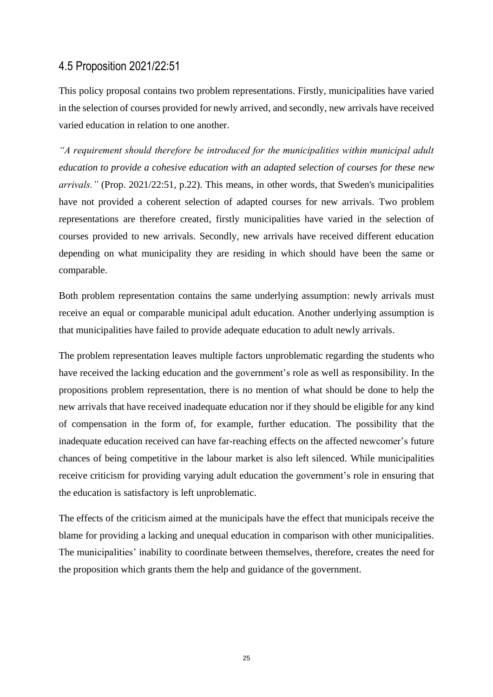#### <span id="page-28-0"></span>4.5 Proposition 2021/22:51

This policy proposal contains two problem representations. Firstly, municipalities have varied in the selection of courses provided for newly arrived, and secondly, new arrivals have received varied education in relation to one another.

*"A requirement should therefore be introduced for the municipalities within municipal adult education to provide a cohesive education with an adapted selection of courses for these new arrivals."* (Prop. 2021/22:51, p.22). This means, in other words, that Sweden's municipalities have not provided a coherent selection of adapted courses for new arrivals. Two problem representations are therefore created, firstly municipalities have varied in the selection of courses provided to new arrivals. Secondly, new arrivals have received different education depending on what municipality they are residing in which should have been the same or comparable.

Both problem representation contains the same underlying assumption: newly arrivals must receive an equal or comparable municipal adult education. Another underlying assumption is that municipalities have failed to provide adequate education to adult newly arrivals.

The problem representation leaves multiple factors unproblematic regarding the students who have received the lacking education and the government's role as well as responsibility. In the propositions problem representation, there is no mention of what should be done to help the new arrivals that have received inadequate education nor if they should be eligible for any kind of compensation in the form of, for example, further education. The possibility that the inadequate education received can have far-reaching effects on the affected newcomer's future chances of being competitive in the labour market is also left silenced. While municipalities receive criticism for providing varying adult education the government's role in ensuring that the education is satisfactory is left unproblematic.

The effects of the criticism aimed at the municipals have the effect that municipals receive the blame for providing a lacking and unequal education in comparison with other municipalities. The municipalities' inability to coordinate between themselves, therefore, creates the need for the proposition which grants them the help and guidance of the government.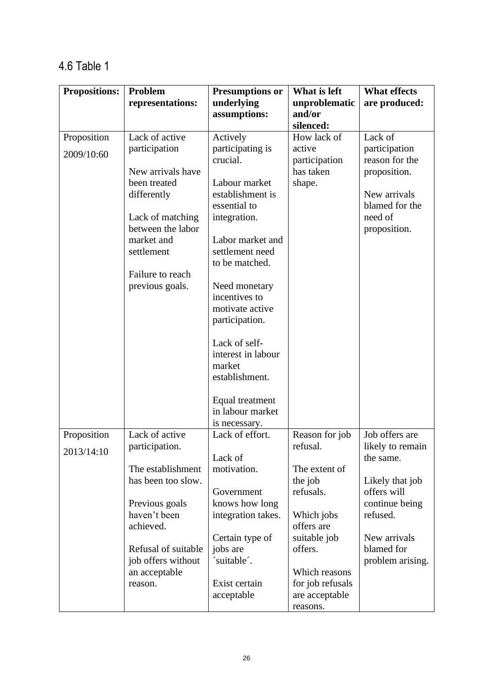## <span id="page-29-0"></span>4.6 Table 1

| <b>Propositions:</b> | Problem                  | <b>Presumptions or</b>              | What is left                       | <b>What effects</b> |
|----------------------|--------------------------|-------------------------------------|------------------------------------|---------------------|
|                      | representations:         | underlying                          | unproblematic                      | are produced:       |
|                      |                          | assumptions:                        | and/or                             |                     |
| Proposition          | Lack of active           | Actively                            | silenced:<br>How lack of           | Lack of             |
|                      | participation            | participating is                    | active                             | participation       |
| 2009/10:60           |                          | crucial.                            | participation                      | reason for the      |
|                      | New arrivals have        |                                     | has taken                          | proposition.        |
|                      | been treated             | Labour market                       | shape.                             |                     |
|                      | differently              | establishment is                    |                                    | New arrivals        |
|                      |                          | essential to                        |                                    | blamed for the      |
|                      | Lack of matching         | integration.                        |                                    | need of             |
|                      | between the labor        |                                     |                                    | proposition.        |
|                      | market and<br>settlement | Labor market and<br>settlement need |                                    |                     |
|                      |                          | to be matched.                      |                                    |                     |
|                      | Failure to reach         |                                     |                                    |                     |
|                      | previous goals.          | Need monetary                       |                                    |                     |
|                      |                          | incentives to                       |                                    |                     |
|                      |                          | motivate active                     |                                    |                     |
|                      |                          | participation.                      |                                    |                     |
|                      |                          |                                     |                                    |                     |
|                      |                          | Lack of self-                       |                                    |                     |
|                      |                          | interest in labour<br>market        |                                    |                     |
|                      |                          | establishment.                      |                                    |                     |
|                      |                          |                                     |                                    |                     |
|                      |                          | Equal treatment                     |                                    |                     |
|                      |                          | in labour market                    |                                    |                     |
|                      |                          | is necessary.                       |                                    |                     |
| Proposition          | Lack of active           | Lack of effort.                     | Reason for job                     | Job offers are      |
| 2013/14:10           | participation.           |                                     | refusal.                           | likely to remain    |
|                      | The establishment        | Lack of<br>motivation.              | The extent of                      | the same.           |
|                      | has been too slow.       |                                     | the job                            | Likely that job     |
|                      |                          | Government                          | refusals.                          | offers will         |
|                      | Previous goals           | knows how long                      |                                    | continue being      |
|                      | haven't been             | integration takes.                  | Which jobs                         | refused.            |
|                      | achieved.                |                                     | offers are                         |                     |
|                      |                          | Certain type of                     | suitable job                       | New arrivals        |
|                      | Refusal of suitable      | jobs are                            | offers.                            | blamed for          |
|                      | job offers without       | 'suitable'.                         |                                    | problem arising.    |
|                      | an acceptable            |                                     | Which reasons                      |                     |
|                      | reason.                  | Exist certain<br>acceptable         | for job refusals<br>are acceptable |                     |
|                      |                          |                                     | reasons.                           |                     |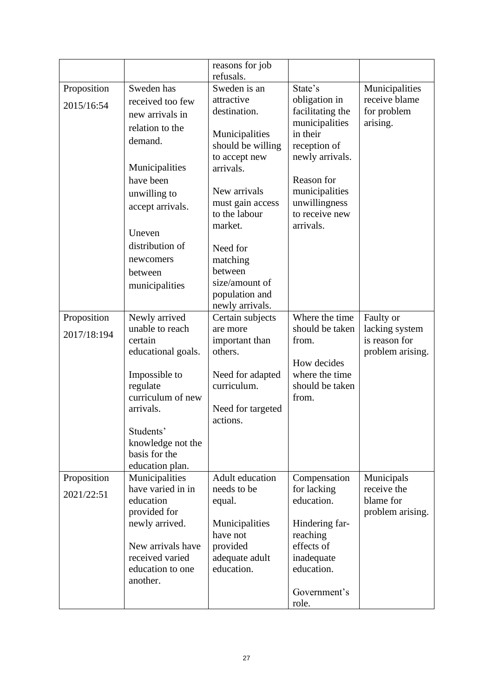|                            |                                                                                                                                                                                                                           | reasons for job<br>refusals.                                                                                                                                                                                                                                              |                                                                                                                                                                                               |                                                                  |
|----------------------------|---------------------------------------------------------------------------------------------------------------------------------------------------------------------------------------------------------------------------|---------------------------------------------------------------------------------------------------------------------------------------------------------------------------------------------------------------------------------------------------------------------------|-----------------------------------------------------------------------------------------------------------------------------------------------------------------------------------------------|------------------------------------------------------------------|
| Proposition<br>2015/16:54  | Sweden has<br>received too few<br>new arrivals in<br>relation to the<br>demand.<br>Municipalities<br>have been<br>unwilling to<br>accept arrivals.<br>Uneven<br>distribution of<br>newcomers<br>between<br>municipalities | Sweden is an<br>attractive<br>destination.<br>Municipalities<br>should be willing<br>to accept new<br>arrivals.<br>New arrivals<br>must gain access<br>to the labour<br>market.<br>Need for<br>matching<br>between<br>size/amount of<br>population and<br>newly arrivals. | State's<br>obligation in<br>facilitating the<br>municipalities<br>in their<br>reception of<br>newly arrivals.<br>Reason for<br>municipalities<br>unwillingness<br>to receive new<br>arrivals. | Municipalities<br>receive blame<br>for problem<br>arising.       |
| Proposition<br>2017/18:194 | Newly arrived<br>unable to reach<br>certain<br>educational goals.<br>Impossible to<br>regulate<br>curriculum of new<br>arrivals.<br>Students'<br>knowledge not the<br>basis for the<br>education plan.                    | Certain subjects<br>are more<br>important than<br>others.<br>Need for adapted<br>curriculum.<br>Need for targeted<br>actions.                                                                                                                                             | Where the time<br>should be taken<br>from.<br>How decides<br>where the time<br>should be taken<br>from.                                                                                       | Faulty or<br>lacking system<br>is reason for<br>problem arising. |
| Proposition<br>2021/22:51  | Municipalities<br>have varied in in<br>education<br>provided for<br>newly arrived.<br>New arrivals have<br>received varied<br>education to one<br>another.                                                                | Adult education<br>needs to be<br>equal.<br>Municipalities<br>have not<br>provided<br>adequate adult<br>education.                                                                                                                                                        | Compensation<br>for lacking<br>education.<br>Hindering far-<br>reaching<br>effects of<br>inadequate<br>education.<br>Government's<br>role.                                                    | Municipals<br>receive the<br>blame for<br>problem arising.       |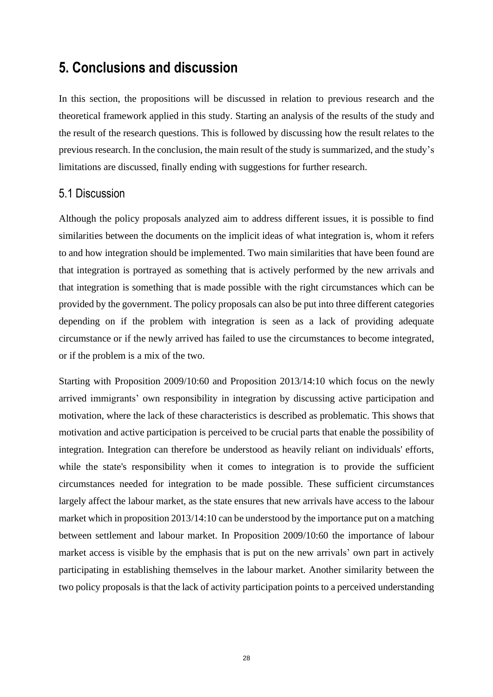## <span id="page-31-0"></span>**5. Conclusions and discussion**

In this section, the propositions will be discussed in relation to previous research and the theoretical framework applied in this study. Starting an analysis of the results of the study and the result of the research questions. This is followed by discussing how the result relates to the previous research. In the conclusion, the main result of the study is summarized, and the study's limitations are discussed, finally ending with suggestions for further research.

#### <span id="page-31-1"></span>5.1 Discussion

Although the policy proposals analyzed aim to address different issues, it is possible to find similarities between the documents on the implicit ideas of what integration is, whom it refers to and how integration should be implemented. Two main similarities that have been found are that integration is portrayed as something that is actively performed by the new arrivals and that integration is something that is made possible with the right circumstances which can be provided by the government. The policy proposals can also be put into three different categories depending on if the problem with integration is seen as a lack of providing adequate circumstance or if the newly arrived has failed to use the circumstances to become integrated, or if the problem is a mix of the two.

Starting with Proposition 2009/10:60 and Proposition 2013/14:10 which focus on the newly arrived immigrants' own responsibility in integration by discussing active participation and motivation, where the lack of these characteristics is described as problematic. This shows that motivation and active participation is perceived to be crucial parts that enable the possibility of integration. Integration can therefore be understood as heavily reliant on individuals' efforts, while the state's responsibility when it comes to integration is to provide the sufficient circumstances needed for integration to be made possible. These sufficient circumstances largely affect the labour market, as the state ensures that new arrivals have access to the labour market which in proposition 2013/14:10 can be understood by the importance put on a matching between settlement and labour market. In Proposition 2009/10:60 the importance of labour market access is visible by the emphasis that is put on the new arrivals' own part in actively participating in establishing themselves in the labour market. Another similarity between the two policy proposals is that the lack of activity participation points to a perceived understanding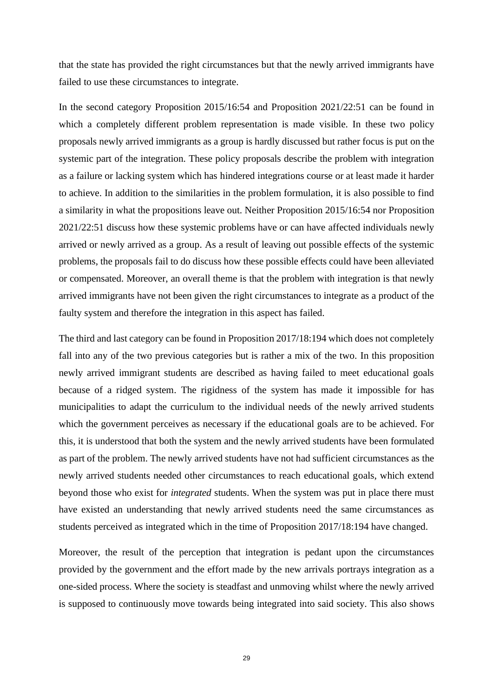that the state has provided the right circumstances but that the newly arrived immigrants have failed to use these circumstances to integrate.

In the second category Proposition 2015/16:54 and Proposition 2021/22:51 can be found in which a completely different problem representation is made visible. In these two policy proposals newly arrived immigrants as a group is hardly discussed but rather focus is put on the systemic part of the integration. These policy proposals describe the problem with integration as a failure or lacking system which has hindered integrations course or at least made it harder to achieve. In addition to the similarities in the problem formulation, it is also possible to find a similarity in what the propositions leave out. Neither Proposition 2015/16:54 nor Proposition 2021/22:51 discuss how these systemic problems have or can have affected individuals newly arrived or newly arrived as a group. As a result of leaving out possible effects of the systemic problems, the proposals fail to do discuss how these possible effects could have been alleviated or compensated. Moreover, an overall theme is that the problem with integration is that newly arrived immigrants have not been given the right circumstances to integrate as a product of the faulty system and therefore the integration in this aspect has failed.

The third and last category can be found in Proposition 2017/18:194 which does not completely fall into any of the two previous categories but is rather a mix of the two. In this proposition newly arrived immigrant students are described as having failed to meet educational goals because of a ridged system. The rigidness of the system has made it impossible for has municipalities to adapt the curriculum to the individual needs of the newly arrived students which the government perceives as necessary if the educational goals are to be achieved. For this, it is understood that both the system and the newly arrived students have been formulated as part of the problem. The newly arrived students have not had sufficient circumstances as the newly arrived students needed other circumstances to reach educational goals, which extend beyond those who exist for *integrated* students. When the system was put in place there must have existed an understanding that newly arrived students need the same circumstances as students perceived as integrated which in the time of Proposition 2017/18:194 have changed.

Moreover, the result of the perception that integration is pedant upon the circumstances provided by the government and the effort made by the new arrivals portrays integration as a one-sided process. Where the society is steadfast and unmoving whilst where the newly arrived is supposed to continuously move towards being integrated into said society. This also shows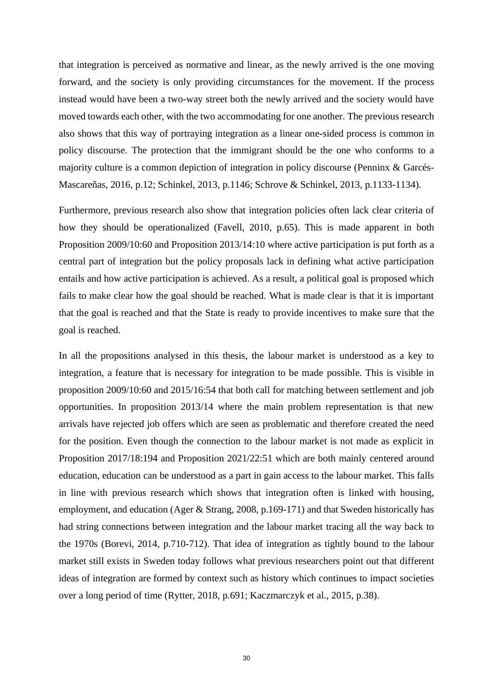that integration is perceived as normative and linear, as the newly arrived is the one moving forward, and the society is only providing circumstances for the movement. If the process instead would have been a two-way street both the newly arrived and the society would have moved towards each other, with the two accommodating for one another. The previous research also shows that this way of portraying integration as a linear one-sided process is common in policy discourse. The protection that the immigrant should be the one who conforms to a majority culture is a common depiction of integration in policy discourse (Penninx & Garcés-Mascareñas, 2016, p.12; Schinkel, 2013, p.1146; Schrove & Schinkel, 2013, p.1133-1134).

Furthermore, previous research also show that integration policies often lack clear criteria of how they should be operationalized (Favell, 2010, p.65). This is made apparent in both Proposition 2009/10:60 and Proposition 2013/14:10 where active participation is put forth as a central part of integration but the policy proposals lack in defining what active participation entails and how active participation is achieved. As a result, a political goal is proposed which fails to make clear how the goal should be reached. What is made clear is that it is important that the goal is reached and that the State is ready to provide incentives to make sure that the goal is reached.

In all the propositions analysed in this thesis, the labour market is understood as a key to integration, a feature that is necessary for integration to be made possible. This is visible in proposition 2009/10:60 and 2015/16:54 that both call for matching between settlement and job opportunities. In proposition 2013/14 where the main problem representation is that new arrivals have rejected job offers which are seen as problematic and therefore created the need for the position. Even though the connection to the labour market is not made as explicit in Proposition 2017/18:194 and Proposition 2021/22:51 which are both mainly centered around education, education can be understood as a part in gain access to the labour market. This falls in line with previous research which shows that integration often is linked with housing, employment, and education (Ager & Strang, 2008, p.169-171) and that Sweden historically has had string connections between integration and the labour market tracing all the way back to the 1970s (Borevi, 2014, p.710-712). That idea of integration as tightly bound to the labour market still exists in Sweden today follows what previous researchers point out that different ideas of integration are formed by context such as history which continues to impact societies over a long period of time (Rytter, 2018, p.691; Kaczmarczyk et al., 2015, p.38).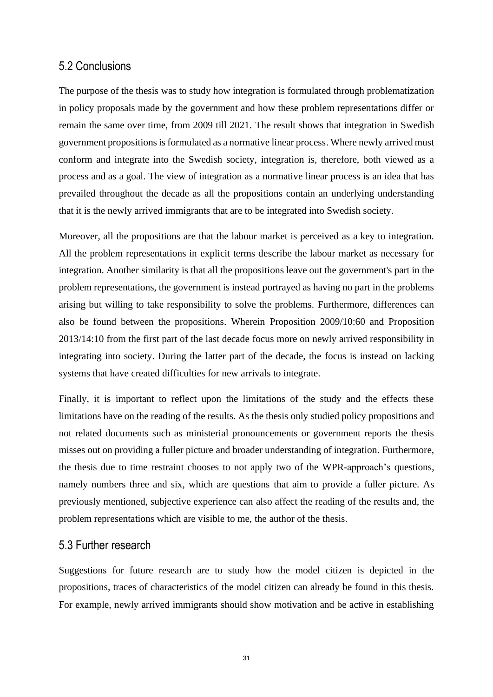#### <span id="page-34-0"></span>5.2 Conclusions

The purpose of the thesis was to study how integration is formulated through problematization in policy proposals made by the government and how these problem representations differ or remain the same over time, from 2009 till 2021. The result shows that integration in Swedish government propositions is formulated as a normative linear process. Where newly arrived must conform and integrate into the Swedish society, integration is, therefore, both viewed as a process and as a goal. The view of integration as a normative linear process is an idea that has prevailed throughout the decade as all the propositions contain an underlying understanding that it is the newly arrived immigrants that are to be integrated into Swedish society.

Moreover, all the propositions are that the labour market is perceived as a key to integration. All the problem representations in explicit terms describe the labour market as necessary for integration. Another similarity is that all the propositions leave out the government's part in the problem representations, the government is instead portrayed as having no part in the problems arising but willing to take responsibility to solve the problems. Furthermore, differences can also be found between the propositions. Wherein Proposition 2009/10:60 and Proposition 2013/14:10 from the first part of the last decade focus more on newly arrived responsibility in integrating into society. During the latter part of the decade, the focus is instead on lacking systems that have created difficulties for new arrivals to integrate.

Finally, it is important to reflect upon the limitations of the study and the effects these limitations have on the reading of the results. As the thesis only studied policy propositions and not related documents such as ministerial pronouncements or government reports the thesis misses out on providing a fuller picture and broader understanding of integration. Furthermore, the thesis due to time restraint chooses to not apply two of the WPR-approach's questions, namely numbers three and six, which are questions that aim to provide a fuller picture. As previously mentioned, subjective experience can also affect the reading of the results and, the problem representations which are visible to me, the author of the thesis.

#### <span id="page-34-1"></span>5.3 Further research

Suggestions for future research are to study how the model citizen is depicted in the propositions, traces of characteristics of the model citizen can already be found in this thesis. For example, newly arrived immigrants should show motivation and be active in establishing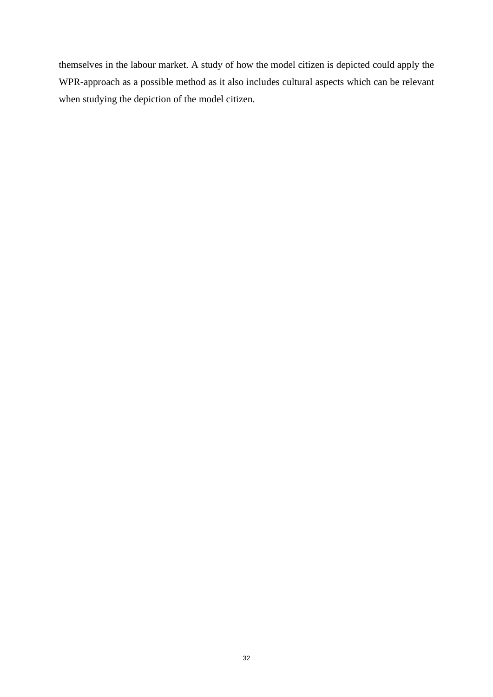themselves in the labour market. A study of how the model citizen is depicted could apply the WPR-approach as a possible method as it also includes cultural aspects which can be relevant when studying the depiction of the model citizen.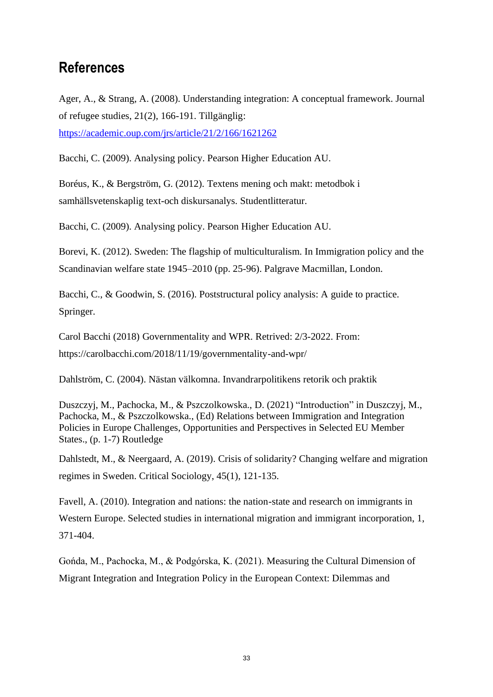## <span id="page-36-0"></span>**References**

Ager, A., & Strang, A. (2008). Understanding integration: A conceptual framework. Journal of refugee studies, 21(2), 166-191. Tillgänglig: <https://academic.oup.com/jrs/article/21/2/166/1621262>

Bacchi, C. (2009). Analysing policy. Pearson Higher Education AU.

Boréus, K., & Bergström, G. (2012). Textens mening och makt: metodbok i samhällsvetenskaplig text-och diskursanalys. Studentlitteratur.

Bacchi, C. (2009). Analysing policy. Pearson Higher Education AU.

Borevi, K. (2012). Sweden: The flagship of multiculturalism. In Immigration policy and the Scandinavian welfare state 1945–2010 (pp. 25-96). Palgrave Macmillan, London.

Bacchi, C., & Goodwin, S. (2016). Poststructural policy analysis: A guide to practice. Springer.

Carol Bacchi (2018) Governmentality and WPR. Retrived: 2/3-2022. From: https://carolbacchi.com/2018/11/19/governmentality-and-wpr/

Dahlström, C. (2004). Nästan välkomna. Invandrarpolitikens retorik och praktik

Duszczyj, M., Pachocka, M., & Pszczolkowska., D. (2021) "Introduction" in Duszczyj, M., Pachocka, M., & Pszczolkowska., (Ed) Relations between Immigration and Integration Policies in Europe Challenges, Opportunities and Perspectives in Selected EU Member States., (p. 1-7) Routledge

Dahlstedt, M., & Neergaard, A. (2019). Crisis of solidarity? Changing welfare and migration regimes in Sweden. Critical Sociology, 45(1), 121-135.

Favell, A. (2010). Integration and nations: the nation-state and research on immigrants in Western Europe. Selected studies in international migration and immigrant incorporation, 1, 371-404.

Gońda, M., Pachocka, M., & Podgórska, K. (2021). Measuring the Cultural Dimension of Migrant Integration and Integration Policy in the European Context: Dilemmas and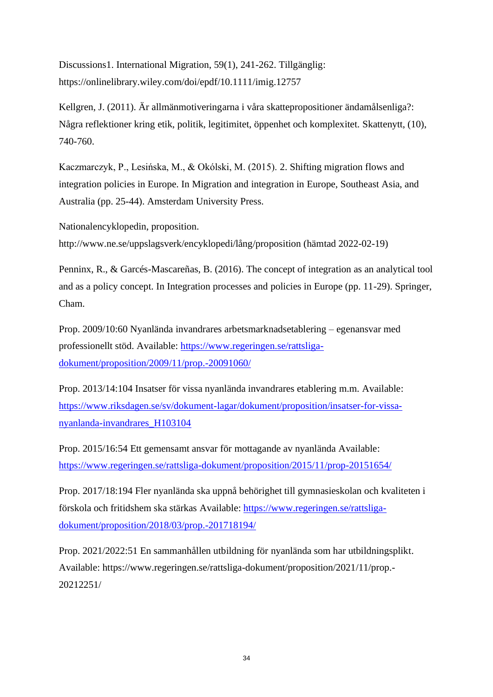Discussions1. International Migration, 59(1), 241-262. Tillgänglig: <https://onlinelibrary.wiley.com/doi/epdf/10.1111/imig.12757>

Kellgren, J. (2011). Är allmänmotiveringarna i våra skattepropositioner ändamålsenliga?: Några reflektioner kring etik, politik, legitimitet, öppenhet och komplexitet. Skattenytt, (10), 740-760.

Kaczmarczyk, P., Lesińska, M., & Okólski, M. (2015). 2. Shifting migration flows and integration policies in Europe. In Migration and integration in Europe, Southeast Asia, and Australia (pp. 25-44). Amsterdam University Press.

Nationalencyklopedin, proposition. http://www.ne.se/uppslagsverk/encyklopedi/lång/proposition (hämtad 2022-02-19)

Penninx, R., & Garcés-Mascareñas, B. (2016). The concept of integration as an analytical tool and as a policy concept. In Integration processes and policies in Europe (pp. 11-29). Springer, Cham.

Prop. 2009/10:60 Nyanlända invandrares arbetsmarknadsetablering – egenansvar med professionellt stöd. Available: [https://www.regeringen.se/rattsliga](https://www.regeringen.se/rattsliga-dokument/proposition/2009/11/prop.-20091060/)[dokument/proposition/2009/11/prop.-20091060/](https://www.regeringen.se/rattsliga-dokument/proposition/2009/11/prop.-20091060/)

Prop. 2013/14:104 Insatser för vissa nyanlända invandrares etablering m.m. Available: [https://www.riksdagen.se/sv/dokument-lagar/dokument/proposition/insatser-for-vissa](https://www.riksdagen.se/sv/dokument-lagar/dokument/proposition/insatser-for-vissa-nyanlanda-invandrares_H103104)[nyanlanda-invandrares\\_H103104](https://www.riksdagen.se/sv/dokument-lagar/dokument/proposition/insatser-for-vissa-nyanlanda-invandrares_H103104)

Prop. 2015/16:54 Ett gemensamt ansvar för mottagande av nyanlända Available: <https://www.regeringen.se/rattsliga-dokument/proposition/2015/11/prop-20151654/>

Prop. 2017/18:194 Fler nyanlända ska uppnå behörighet till gymnasieskolan och kvaliteten i förskola och fritidshem ska stärkas Available: [https://www.regeringen.se/rattsliga](https://www.regeringen.se/rattsliga-dokument/proposition/2018/03/prop.-201718194/)[dokument/proposition/2018/03/prop.-201718194/](https://www.regeringen.se/rattsliga-dokument/proposition/2018/03/prop.-201718194/)

Prop. 2021/2022:51 En sammanhållen utbildning för nyanlända som har utbildningsplikt. Available: https://www.regeringen.se/rattsliga-dokument/proposition/2021/11/prop.- 20212251/